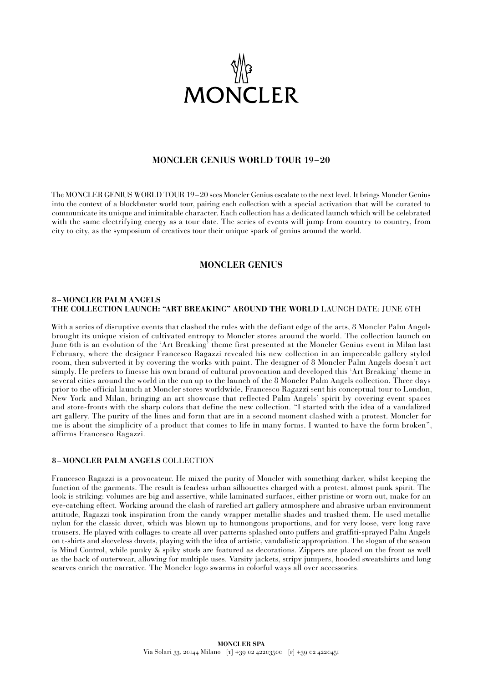

## **MONCLER GENIUS WORLD TOUR 19–20**

The MONCLER GENIUS WORLD TOUR 19–20 sees Moncler Genius escalate to the next level. It brings Moncler Genius into the context of a blockbuster world tour, pairing each collection with a special activation that will be curated to communicate its unique and inimitable character. Each collection has a dedicated launch which will be celebrated with the same electrifying energy as a tour date. The series of events will jump from country to country, from city to city, as the symposium of creatives tour their unique spark of genius around the world.

## **MONCLER GENIUS**

#### **8 –MONCLER PALM ANGELS THE COLLECTION LAUNCH: "ART BREAKING" AROUND THE WORLD** LAUNCH DATE: JUNE 6TH

With a series of disruptive events that clashed the rules with the defiant edge of the arts, 8 Moncler Palm Angels brought its unique vision of cultivated entropy to Moncler stores around the world. The collection launch on June 6th is an evolution of the 'Art Breaking' theme first presented at the Moncler Genius event in Milan last February, where the designer Francesco Ragazzi revealed his new collection in an impeccable gallery styled room, then subverted it by covering the works with paint. The designer of 8 Moncler Palm Angels doesn't act simply. He prefers to finesse his own brand of cultural provocation and developed this 'Art Breaking' theme in several cities around the world in the run up to the launch of the 8 Moncler Palm Angels collection. Three days prior to the official launch at Moncler stores worldwide, Francesco Ragazzi sent his conceptual tour to London, New York and Milan, bringing an art showcase that reflected Palm Angels' spirit by covering event spaces and store-fronts with the sharp colors that define the new collection. "I started with the idea of a vandalized art gallery. The purity of the lines and form that are in a second moment clashed with a protest. Moncler for me is about the simplicity of a product that comes to life in many forms. I wanted to have the form broken", affirms Francesco Ragazzi.

### **8 –MONCLER PALM ANGELS** COLLECTION

Francesco Ragazzi is a provocateur. He mixed the purity of Moncler with something darker, whilst keeping the function of the garments. The result is fearless urban silhouettes charged with a protest, almost punk spirit. The look is striking: volumes are big and assertive, while laminated surfaces, either pristine or worn out, make for an eye-catching effect. Working around the clash of rarefied art gallery atmosphere and abrasive urban environment attitude, Ragazzi took inspiration from the candy wrapper metallic shades and trashed them. He used metallic nylon for the classic duvet, which was blown up to humongous proportions, and for very loose, very long rave trousers. He played with collages to create all over patterns splashed onto puffers and graffiti-sprayed Palm Angels on t-shirts and sleeveless duvets, playing with the idea of artistic, vandalistic appropriation. The slogan of the season is Mind Control, while punky & spiky studs are featured as decorations. Zippers are placed on the front as well as the back of outerwear, allowing for multiple uses. Varsity jackets, stripy jumpers, hooded sweatshirts and long scarves enrich the narrative. The Moncler logo swarms in colorful ways all over accessories.